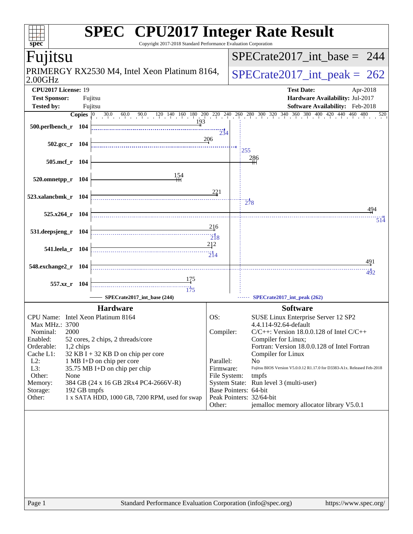| <b>SPEC<sup>®</sup></b> CPU2017 Integer Rate Result<br>Copyright 2017-2018 Standard Performance Evaluation Corporation<br>spec® |                                                                                                                                        |  |  |  |  |  |
|---------------------------------------------------------------------------------------------------------------------------------|----------------------------------------------------------------------------------------------------------------------------------------|--|--|--|--|--|
| Fujitsu                                                                                                                         | $SPECrate2017\_int\_base = 244$                                                                                                        |  |  |  |  |  |
| PRIMERGY RX2530 M4, Intel Xeon Platinum 8164,<br>$2.00$ GHz                                                                     | $SPECrate2017\_int\_peak = 262$                                                                                                        |  |  |  |  |  |
| CPU2017 License: 19<br><b>Test Sponsor:</b><br>Fujitsu                                                                          | <b>Test Date:</b><br>Apr-2018<br>Hardware Availability: Jul-2017                                                                       |  |  |  |  |  |
| <b>Tested by:</b><br>Fujitsu<br>Copies $ 0\rangle$                                                                              | Software Availability: Feb-2018<br>$30.0$ 60.0 90.0 120 140 160 180 200 220 240 260 280 300 320 340 360 380 400 420 440 460 480<br>520 |  |  |  |  |  |
| 193<br>500.perlbench_r 104                                                                                                      | 234                                                                                                                                    |  |  |  |  |  |
| 502.gcc_r 104                                                                                                                   | 206<br>255                                                                                                                             |  |  |  |  |  |
| 505.mcf r 104                                                                                                                   | 286                                                                                                                                    |  |  |  |  |  |
| 154<br>$520.0$ mnetpp_r 104                                                                                                     |                                                                                                                                        |  |  |  |  |  |
| 523.xalancbmk_r 104                                                                                                             | 221<br>278                                                                                                                             |  |  |  |  |  |
| $525.x264$ r 104                                                                                                                | 494                                                                                                                                    |  |  |  |  |  |
| 531.deepsjeng_r<br>- 104                                                                                                        | 514<br>216                                                                                                                             |  |  |  |  |  |
| 541.leela_r 104                                                                                                                 | $\frac{1}{218}$<br>212                                                                                                                 |  |  |  |  |  |
| 548.exchange2_r 104                                                                                                             | 491                                                                                                                                    |  |  |  |  |  |
| <u> 175</u><br>557.xz_r 104                                                                                                     | 492                                                                                                                                    |  |  |  |  |  |
| $\overline{175}$<br>SPECrate2017_int_base (244)                                                                                 | SPECrate2017_int_peak (262)                                                                                                            |  |  |  |  |  |
| <b>Hardware</b>                                                                                                                 | <b>Software</b>                                                                                                                        |  |  |  |  |  |
| CPU Name: Intel Xeon Platinum 8164<br>Max MHz.: 3700                                                                            | OS:<br>SUSE Linux Enterprise Server 12 SP2<br>4.4.114-92.64-default                                                                    |  |  |  |  |  |
| 2000<br>Nominal:                                                                                                                | Compiler:<br>$C/C++$ : Version 18.0.0.128 of Intel $C/C++$                                                                             |  |  |  |  |  |
| Enabled:<br>52 cores, 2 chips, 2 threads/core<br>Orderable:<br>1,2 chips                                                        | Compiler for Linux;<br>Fortran: Version 18.0.0.128 of Intel Fortran                                                                    |  |  |  |  |  |
| Cache L1:<br>$32$ KB I + 32 KB D on chip per core                                                                               | Compiler for Linux                                                                                                                     |  |  |  |  |  |
| $L2$ :<br>1 MB I+D on chip per core                                                                                             | Parallel:<br>N <sub>o</sub>                                                                                                            |  |  |  |  |  |
| L3:<br>35.75 MB I+D on chip per chip<br>Other:<br>None                                                                          | Fujitsu BIOS Version V5.0.0.12 R1.17.0 for D3383-A1x. Released Feb-2018<br>Firmware:<br>File System:<br>tmpfs                          |  |  |  |  |  |
| Memory:<br>384 GB (24 x 16 GB 2Rx4 PC4-2666V-R)                                                                                 | System State: Run level 3 (multi-user)                                                                                                 |  |  |  |  |  |
| Storage:<br>192 GB tmpfs                                                                                                        | Base Pointers: 64-bit<br>Peak Pointers: 32/64-bit                                                                                      |  |  |  |  |  |
| 1 x SATA HDD, 1000 GB, 7200 RPM, used for swap<br>Other:                                                                        | Other:<br>jemalloc memory allocator library V5.0.1                                                                                     |  |  |  |  |  |
|                                                                                                                                 |                                                                                                                                        |  |  |  |  |  |
|                                                                                                                                 |                                                                                                                                        |  |  |  |  |  |
|                                                                                                                                 |                                                                                                                                        |  |  |  |  |  |
|                                                                                                                                 |                                                                                                                                        |  |  |  |  |  |
|                                                                                                                                 |                                                                                                                                        |  |  |  |  |  |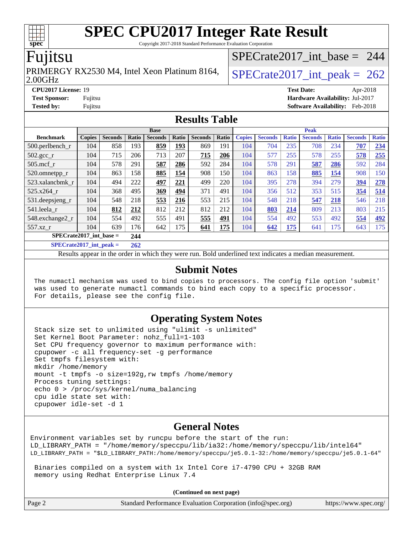Copyright 2017-2018 Standard Performance Evaluation Corporation

### Fujitsu

2.00GHz PRIMERGY RX2530 M4, Intel Xeon Platinum 8164,  $\big|$  SPECrate 2017 int peak = 262

[SPECrate2017\\_int\\_base =](http://www.spec.org/auto/cpu2017/Docs/result-fields.html#SPECrate2017intbase) 244

**[CPU2017 License:](http://www.spec.org/auto/cpu2017/Docs/result-fields.html#CPU2017License)** 19 **[Test Date:](http://www.spec.org/auto/cpu2017/Docs/result-fields.html#TestDate)** Apr-2018 **[Test Sponsor:](http://www.spec.org/auto/cpu2017/Docs/result-fields.html#TestSponsor)** Fujitsu **[Hardware Availability:](http://www.spec.org/auto/cpu2017/Docs/result-fields.html#HardwareAvailability)** Jul-2017 **[Tested by:](http://www.spec.org/auto/cpu2017/Docs/result-fields.html#Testedby)** Fujitsu **[Software Availability:](http://www.spec.org/auto/cpu2017/Docs/result-fields.html#SoftwareAvailability)** Feb-2018

#### **[Results Table](http://www.spec.org/auto/cpu2017/Docs/result-fields.html#ResultsTable)**

|                             | <b>Base</b>   |                |       |                | <b>Peak</b> |                |       |               |                |              |                |              |                |              |
|-----------------------------|---------------|----------------|-------|----------------|-------------|----------------|-------|---------------|----------------|--------------|----------------|--------------|----------------|--------------|
| <b>Benchmark</b>            | <b>Copies</b> | <b>Seconds</b> | Ratio | <b>Seconds</b> | Ratio       | <b>Seconds</b> | Ratio | <b>Copies</b> | <b>Seconds</b> | <b>Ratio</b> | <b>Seconds</b> | <b>Ratio</b> | <b>Seconds</b> | <b>Ratio</b> |
| 500.perlbench_r             | 104           | 858            | 193   | 859            | <u>193</u>  | 869            | 191   | 104           | 704            | 235          | 708            | 234          | 707            | 234          |
| $502.\text{gcc}$ _r         | 104           | 715            | 206   | 713            | 207         | 715            | 206   | 104           | 577            | 255          | 578            | 255          | 578            | 255          |
| $505$ .mcf r                | 104           | 578            | 291   | 587            | 286         | 592            | 284   | 104           | 578            | 291          | 587            | 286          | 592            | 284          |
| 520.omnetpp_r               | 104           | 863            | 158   | 885            | 154         | 908            | 150   | 104           | 863            | 158          | 885            | 154          | 908            | 150          |
| 523.xalancbmk r             | 104           | 494            | 222   | 497            | 221         | 499            | 220   | 104           | 395            | 278          | 394            | 279          | 394            | 278          |
| 525.x264 r                  | 104           | 368            | 495   | 369            | 494         | 371            | 491   | 104           | 356            | 512          | 353            | 515          | 354            | 514          |
| 531.deepsjeng_r             | 104           | 548            | 218   | 553            | 216         | 553            | 215   | 104           | 548            | 218          | 547            | 218          | 546            | 218          |
| 541.leela r                 | 104           | 812            | 212   | 812            | 212         | 812            | 212   | 104           | 803            | 214          | 809            | 213          | 803            | 215          |
| 548.exchange2_r             | 104           | 554            | 492   | 555            | 491         | 555            | 491   | 104           | 554            | 492          | 553            | 492          | 554            | 492          |
| 557.xz r                    | 104           | 639            | 176   | 642            | 175         | 641            | 175   | 104           | 642            | 175          | 641            | 175          | 643            | 175          |
| $SPECrate2017$ int base =   |               |                | 244   |                |             |                |       |               |                |              |                |              |                |              |
| $SPECrate2017\_int\_peak =$ |               |                | 262   |                |             |                |       |               |                |              |                |              |                |              |

Results appear in the [order in which they were run](http://www.spec.org/auto/cpu2017/Docs/result-fields.html#RunOrder). Bold underlined text [indicates a median measurement](http://www.spec.org/auto/cpu2017/Docs/result-fields.html#Median).

#### **[Submit Notes](http://www.spec.org/auto/cpu2017/Docs/result-fields.html#SubmitNotes)**

 The numactl mechanism was used to bind copies to processors. The config file option 'submit' was used to generate numactl commands to bind each copy to a specific processor. For details, please see the config file.

#### **[Operating System Notes](http://www.spec.org/auto/cpu2017/Docs/result-fields.html#OperatingSystemNotes)**

 Stack size set to unlimited using "ulimit -s unlimited" Set Kernel Boot Parameter: nohz\_full=1-103 Set CPU frequency governor to maximum performance with: cpupower -c all frequency-set -g performance Set tmpfs filesystem with: mkdir /home/memory mount -t tmpfs -o size=192g,rw tmpfs /home/memory Process tuning settings: echo 0 > /proc/sys/kernel/numa\_balancing cpu idle state set with: cpupower idle-set -d 1

#### **[General Notes](http://www.spec.org/auto/cpu2017/Docs/result-fields.html#GeneralNotes)**

Environment variables set by runcpu before the start of the run: LD\_LIBRARY\_PATH = "/home/memory/speccpu/lib/ia32:/home/memory/speccpu/lib/intel64" LD\_LIBRARY\_PATH = "\$LD\_LIBRARY\_PATH:/home/memory/speccpu/je5.0.1-32:/home/memory/speccpu/je5.0.1-64"

 Binaries compiled on a system with 1x Intel Core i7-4790 CPU + 32GB RAM memory using Redhat Enterprise Linux 7.4

**(Continued on next page)**

| Page 2 | Standard Performance Evaluation Corporation (info@spec.org) | https://www.spec.org/ |
|--------|-------------------------------------------------------------|-----------------------|
|        |                                                             |                       |

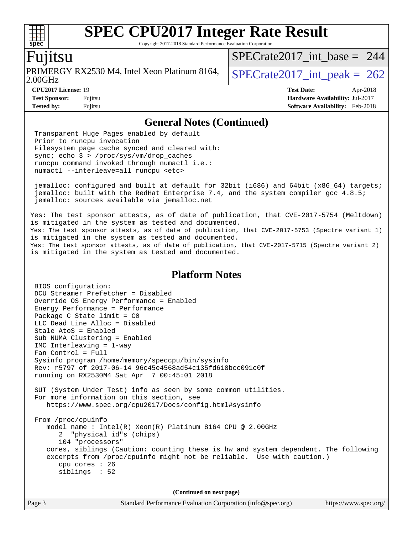Copyright 2017-2018 Standard Performance Evaluation Corporation

#### Fujitsu

**[spec](http://www.spec.org/)**

2.00GHz PRIMERGY RX2530 M4, Intel Xeon Platinum 8164,  $\big|$  SPECrate 2017 int peak = 262

[SPECrate2017\\_int\\_base =](http://www.spec.org/auto/cpu2017/Docs/result-fields.html#SPECrate2017intbase) 244

**[CPU2017 License:](http://www.spec.org/auto/cpu2017/Docs/result-fields.html#CPU2017License)** 19 **[Test Date:](http://www.spec.org/auto/cpu2017/Docs/result-fields.html#TestDate)** Apr-2018 **[Test Sponsor:](http://www.spec.org/auto/cpu2017/Docs/result-fields.html#TestSponsor)** Fujitsu **[Hardware Availability:](http://www.spec.org/auto/cpu2017/Docs/result-fields.html#HardwareAvailability)** Jul-2017 **[Tested by:](http://www.spec.org/auto/cpu2017/Docs/result-fields.html#Testedby)** Fujitsu **[Software Availability:](http://www.spec.org/auto/cpu2017/Docs/result-fields.html#SoftwareAvailability)** Feb-2018

#### **[General Notes \(Continued\)](http://www.spec.org/auto/cpu2017/Docs/result-fields.html#GeneralNotes)**

 Transparent Huge Pages enabled by default Prior to runcpu invocation Filesystem page cache synced and cleared with: sync; echo 3 > /proc/sys/vm/drop\_caches runcpu command invoked through numactl i.e.: numactl --interleave=all runcpu <etc>

 jemalloc: configured and built at default for 32bit (i686) and 64bit (x86\_64) targets; jemalloc: built with the RedHat Enterprise 7.4, and the system compiler gcc 4.8.5; jemalloc: sources available via jemalloc.net

Yes: The test sponsor attests, as of date of publication, that CVE-2017-5754 (Meltdown) is mitigated in the system as tested and documented. Yes: The test sponsor attests, as of date of publication, that CVE-2017-5753 (Spectre variant 1) is mitigated in the system as tested and documented. Yes: The test sponsor attests, as of date of publication, that CVE-2017-5715 (Spectre variant 2) is mitigated in the system as tested and documented.

#### **[Platform Notes](http://www.spec.org/auto/cpu2017/Docs/result-fields.html#PlatformNotes)**

 BIOS configuration: DCU Streamer Prefetcher = Disabled Override OS Energy Performance = Enabled Energy Performance = Performance Package C State limit = C0 LLC Dead Line Alloc = Disabled Stale AtoS = Enabled Sub NUMA Clustering = Enabled IMC Interleaving = 1-way Fan Control = Full Sysinfo program /home/memory/speccpu/bin/sysinfo Rev: r5797 of 2017-06-14 96c45e4568ad54c135fd618bcc091c0f running on RX2530M4 Sat Apr 7 00:45:01 2018 SUT (System Under Test) info as seen by some common utilities. For more information on this section, see <https://www.spec.org/cpu2017/Docs/config.html#sysinfo> From /proc/cpuinfo model name : Intel(R) Xeon(R) Platinum 8164 CPU @ 2.00GHz 2 "physical id"s (chips) 104 "processors" cores, siblings (Caution: counting these is hw and system dependent. The following excerpts from /proc/cpuinfo might not be reliable. Use with caution.) cpu cores : 26 siblings : 52 **(Continued on next page)**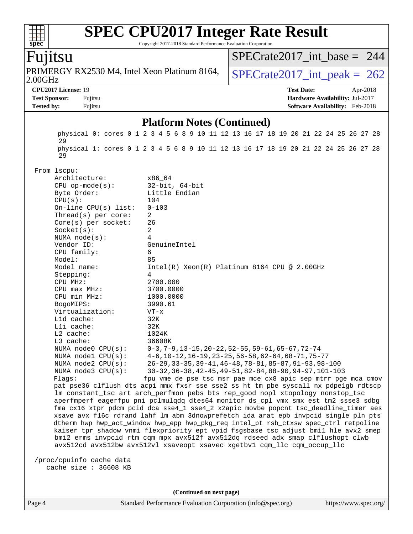#### **[SPEC CPU2017 Integer Rate Result](http://www.spec.org/auto/cpu2017/Docs/result-fields.html#SPECCPU2017IntegerRateResult)**  $\pm\pm\tau$ **[spec](http://www.spec.org/)** Copyright 2017-2018 Standard Performance Evaluation Corporation [SPECrate2017\\_int\\_base =](http://www.spec.org/auto/cpu2017/Docs/result-fields.html#SPECrate2017intbase) 244 Fujitsu PRIMERGY RX2530 M4, Intel Xeon Platinum 8164,  $\big|$  SPECrate 2017 int peak = 262 2.00GHz **[CPU2017 License:](http://www.spec.org/auto/cpu2017/Docs/result-fields.html#CPU2017License)** 19 **[Test Date:](http://www.spec.org/auto/cpu2017/Docs/result-fields.html#TestDate)** Apr-2018 **[Test Sponsor:](http://www.spec.org/auto/cpu2017/Docs/result-fields.html#TestSponsor)** Fujitsu **[Hardware Availability:](http://www.spec.org/auto/cpu2017/Docs/result-fields.html#HardwareAvailability)** Jul-2017 **[Tested by:](http://www.spec.org/auto/cpu2017/Docs/result-fields.html#Testedby)** Fujitsu **[Software Availability:](http://www.spec.org/auto/cpu2017/Docs/result-fields.html#SoftwareAvailability)** Feb-2018 **[Platform Notes \(Continued\)](http://www.spec.org/auto/cpu2017/Docs/result-fields.html#PlatformNotes)** physical 0: cores 0 1 2 3 4 5 6 8 9 10 11 12 13 16 17 18 19 20 21 22 24 25 26 27 28 29 physical 1: cores 0 1 2 3 4 5 6 8 9 10 11 12 13 16 17 18 19 20 21 22 24 25 26 27 28 29 From lscpu: Architecture: x86\_64 CPU op-mode(s): 32-bit, 64-bit Byte Order: Little Endian CPU(s): 104 On-line CPU(s) list: 0-103 Thread(s) per core: 2 Core(s) per socket: 26 Socket(s): 2 NUMA node(s): 4 Vendor ID: GenuineIntel CPU family: 6 Model: 85 Model name: Intel(R) Xeon(R) Platinum 8164 CPU @ 2.00GHz Stepping: 4 CPU MHz: 2700.000 CPU max MHz: 3700.0000 CPU min MHz: 1000.0000 BogoMIPS: 3990.61 Virtualization: VT-x L1d cache: 32K L1i cache: 32K L2 cache: 1024K L3 cache: 36608K NUMA node0 CPU(s): 0-3,7-9,13-15,20-22,52-55,59-61,65-67,72-74 NUMA node1 CPU(s): 4-6,10-12,16-19,23-25,56-58,62-64,68-71,75-77 NUMA node2 CPU(s): 26-29,33-35,39-41,46-48,78-81,85-87,91-93,98-100 NUMA node3 CPU(s): 30-32,36-38,42-45,49-51,82-84,88-90,94-97,101-103 Flags: fpu vme de pse tsc msr pae mce cx8 apic sep mtrr pge mca cmov pat pse36 clflush dts acpi mmx fxsr sse sse2 ss ht tm pbe syscall nx pdpe1gb rdtscp lm constant\_tsc art arch\_perfmon pebs bts rep\_good nopl xtopology nonstop\_tsc aperfmperf eagerfpu pni pclmulqdq dtes64 monitor ds\_cpl vmx smx est tm2 ssse3 sdbg fma cx16 xtpr pdcm pcid dca sse4\_1 sse4\_2 x2apic movbe popcnt tsc\_deadline\_timer aes xsave avx f16c rdrand lahf\_lm abm 3dnowprefetch ida arat epb invpcid\_single pln pts dtherm hwp hwp\_act\_window hwp\_epp hwp\_pkg\_req intel\_pt rsb\_ctxsw spec\_ctrl retpoline kaiser tpr\_shadow vnmi flexpriority ept vpid fsgsbase tsc\_adjust bmi1 hle avx2 smep bmi2 erms invpcid rtm cqm mpx avx512f avx512dq rdseed adx smap clflushopt clwb avx512cd avx512bw avx512vl xsaveopt xsavec xgetbv1 cqm\_llc cqm\_occup\_llc /proc/cpuinfo cache data cache size : 36608 KB **(Continued on next page)**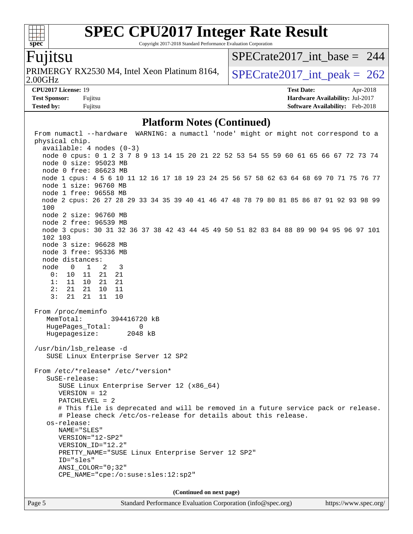Copyright 2017-2018 Standard Performance Evaluation Corporation

### Fujitsu

**[spec](http://www.spec.org/)**

 $+\ +$ 

2.00GHz PRIMERGY RX2530 M4, Intel Xeon Platinum 8164,  $\big|$  SPECrate 2017 int peak = 262

[SPECrate2017\\_int\\_base =](http://www.spec.org/auto/cpu2017/Docs/result-fields.html#SPECrate2017intbase) 244

**[Test Sponsor:](http://www.spec.org/auto/cpu2017/Docs/result-fields.html#TestSponsor)** Fujitsu **[Hardware Availability:](http://www.spec.org/auto/cpu2017/Docs/result-fields.html#HardwareAvailability)** Jul-2017 **[Tested by:](http://www.spec.org/auto/cpu2017/Docs/result-fields.html#Testedby)** Fujitsu **[Software Availability:](http://www.spec.org/auto/cpu2017/Docs/result-fields.html#SoftwareAvailability)** Feb-2018

**[CPU2017 License:](http://www.spec.org/auto/cpu2017/Docs/result-fields.html#CPU2017License)** 19 **[Test Date:](http://www.spec.org/auto/cpu2017/Docs/result-fields.html#TestDate)** Apr-2018

**[Platform Notes \(Continued\)](http://www.spec.org/auto/cpu2017/Docs/result-fields.html#PlatformNotes)**

 From numactl --hardware WARNING: a numactl 'node' might or might not correspond to a physical chip. available: 4 nodes (0-3) node 0 cpus: 0 1 2 3 7 8 9 13 14 15 20 21 22 52 53 54 55 59 60 61 65 66 67 72 73 74 node 0 size: 95023 MB node 0 free: 86623 MB node 1 cpus: 4 5 6 10 11 12 16 17 18 19 23 24 25 56 57 58 62 63 64 68 69 70 71 75 76 77 node 1 size: 96760 MB node 1 free: 96558 MB node 2 cpus: 26 27 28 29 33 34 35 39 40 41 46 47 48 78 79 80 81 85 86 87 91 92 93 98 99 100 node 2 size: 96760 MB node 2 free: 96539 MB node 3 cpus: 30 31 32 36 37 38 42 43 44 45 49 50 51 82 83 84 88 89 90 94 95 96 97 101 102 103 node 3 size: 96628 MB node 3 free: 95336 MB node distances: node 0 1 2 3 0: 10 11 21 21 1: 11 10 21 21 2: 21 21 10 11 3: 21 21 11 10 From /proc/meminfo MemTotal: 394416720 kB HugePages\_Total: 0 Hugepagesize: 2048 kB /usr/bin/lsb\_release -d SUSE Linux Enterprise Server 12 SP2 From /etc/\*release\* /etc/\*version\* SuSE-release: SUSE Linux Enterprise Server 12 (x86\_64) VERSION = 12 PATCHLEVEL = 2 # This file is deprecated and will be removed in a future service pack or release. # Please check /etc/os-release for details about this release. os-release: NAME="SLES" VERSION="12-SP2" VERSION\_ID="12.2" PRETTY\_NAME="SUSE Linux Enterprise Server 12 SP2" ID="sles" ANSI\_COLOR="0;32" CPE\_NAME="cpe:/o:suse:sles:12:sp2" **(Continued on next page)**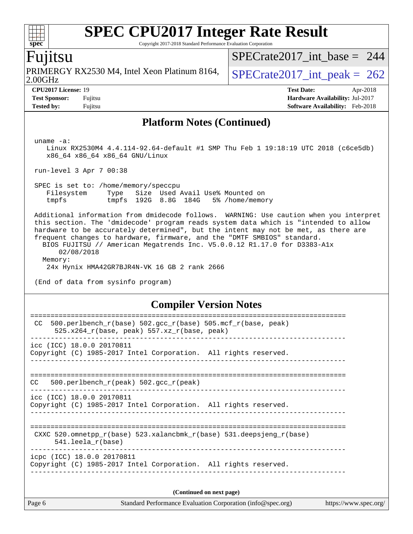Copyright 2017-2018 Standard Performance Evaluation Corporation

### Fujitsu

**[spec](http://www.spec.org/)**

2.00GHz PRIMERGY RX2530 M4, Intel Xeon Platinum 8164,  $\big|$  SPECrate 2017 \_int\_peak = 262

[SPECrate2017\\_int\\_base =](http://www.spec.org/auto/cpu2017/Docs/result-fields.html#SPECrate2017intbase) 244

**[CPU2017 License:](http://www.spec.org/auto/cpu2017/Docs/result-fields.html#CPU2017License)** 19 **[Test Date:](http://www.spec.org/auto/cpu2017/Docs/result-fields.html#TestDate)** Apr-2018 **[Test Sponsor:](http://www.spec.org/auto/cpu2017/Docs/result-fields.html#TestSponsor)** Fujitsu **[Hardware Availability:](http://www.spec.org/auto/cpu2017/Docs/result-fields.html#HardwareAvailability)** Jul-2017 **[Tested by:](http://www.spec.org/auto/cpu2017/Docs/result-fields.html#Testedby)** Fujitsu **Fugital Example 2018 [Software Availability:](http://www.spec.org/auto/cpu2017/Docs/result-fields.html#SoftwareAvailability)** Feb-2018

#### **[Platform Notes \(Continued\)](http://www.spec.org/auto/cpu2017/Docs/result-fields.html#PlatformNotes)**

uname -a:

 Linux RX2530M4 4.4.114-92.64-default #1 SMP Thu Feb 1 19:18:19 UTC 2018 (c6ce5db) x86\_64 x86\_64 x86\_64 GNU/Linux

run-level 3 Apr 7 00:38

 SPEC is set to: /home/memory/speccpu Filesystem Type Size Used Avail Use% Mounted on tmpfs tmpfs 192G 8.8G 184G 5% /home/memory

 Additional information from dmidecode follows. WARNING: Use caution when you interpret this section. The 'dmidecode' program reads system data which is "intended to allow hardware to be accurately determined", but the intent may not be met, as there are frequent changes to hardware, firmware, and the "DMTF SMBIOS" standard. BIOS FUJITSU // American Megatrends Inc. V5.0.0.12 R1.17.0 for D3383-A1x

 02/08/2018 Memory: 24x Hynix HMA42GR7BJR4N-VK 16 GB 2 rank 2666

(End of data from sysinfo program)

#### **[Compiler Version Notes](http://www.spec.org/auto/cpu2017/Docs/result-fields.html#CompilerVersionNotes)**

| Page 6 | Standard Performance Evaluation Corporation (info@spec.org)                                                           | https://www.spec.org/ |
|--------|-----------------------------------------------------------------------------------------------------------------------|-----------------------|
|        | (Continued on next page)                                                                                              |                       |
|        | icpc (ICC) 18.0.0 20170811<br>Copyright (C) 1985-2017 Intel Corporation. All rights reserved.                         |                       |
|        | CXXC 520.omnetpp $r(base)$ 523.xalancbmk $r(base)$ 531.deepsjeng $r(base)$<br>$541.$ leela r(base)                    |                       |
|        | icc (ICC) 18.0.0 20170811<br>Copyright (C) 1985-2017 Intel Corporation. All rights reserved.                          |                       |
| CC.    | 500.perlbench $r(\text{peak})$ 502.gcc $r(\text{peak})$                                                               |                       |
|        | icc (ICC) 18.0.0 20170811<br>Copyright (C) 1985-2017 Intel Corporation. All rights reserved.                          |                       |
| CC.    | 500. perlbench $r(base)$ 502. qcc $r(base)$ 505. mcf $r(base, peak)$<br>$525.x264_r(base, peak) 557.xz_r(base, peak)$ |                       |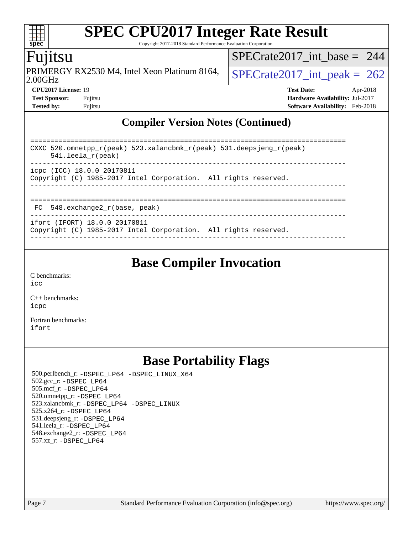Copyright 2017-2018 Standard Performance Evaluation Corporation

## Fujitsu

**[spec](http://www.spec.org/)**

 $\pm\pm\prime$ 

2.00GHz PRIMERGY RX2530 M4, Intel Xeon Platinum 8164,  $\big|$  SPECrate 2017 \_int\_peak = 262

[SPECrate2017\\_int\\_base =](http://www.spec.org/auto/cpu2017/Docs/result-fields.html#SPECrate2017intbase) 244

**[CPU2017 License:](http://www.spec.org/auto/cpu2017/Docs/result-fields.html#CPU2017License)** 19 **[Test Date:](http://www.spec.org/auto/cpu2017/Docs/result-fields.html#TestDate)** Apr-2018 **[Test Sponsor:](http://www.spec.org/auto/cpu2017/Docs/result-fields.html#TestSponsor)** Fujitsu **[Hardware Availability:](http://www.spec.org/auto/cpu2017/Docs/result-fields.html#HardwareAvailability)** Jul-2017 **[Tested by:](http://www.spec.org/auto/cpu2017/Docs/result-fields.html#Testedby)** Fujitsu **Fugital Example 2018 [Software Availability:](http://www.spec.org/auto/cpu2017/Docs/result-fields.html#SoftwareAvailability)** Feb-2018

### **[Compiler Version Notes \(Continued\)](http://www.spec.org/auto/cpu2017/Docs/result-fields.html#CompilerVersionNotes)**

| CXXC 520.omnetpp_r(peak) 523.xalancbmk_r(peak) 531.deepsjeng_r(peak)<br>$541.$ leela r(peak)     |  |  |  |  |  |
|--------------------------------------------------------------------------------------------------|--|--|--|--|--|
| icpc (ICC) 18.0.0 20170811<br>Copyright (C) 1985-2017 Intel Corporation. All rights reserved.    |  |  |  |  |  |
| $FC$ 548. exchange2 $r(base, peak)$                                                              |  |  |  |  |  |
| ifort (IFORT) 18.0.0 20170811<br>Copyright (C) 1985-2017 Intel Corporation. All rights reserved. |  |  |  |  |  |

------------------------------------------------------------------------------

## **[Base Compiler Invocation](http://www.spec.org/auto/cpu2017/Docs/result-fields.html#BaseCompilerInvocation)**

[C benchmarks](http://www.spec.org/auto/cpu2017/Docs/result-fields.html#Cbenchmarks): [icc](http://www.spec.org/cpu2017/results/res2018q2/cpu2017-20180417-05017.flags.html#user_CCbase_intel_icc_18.0_66fc1ee009f7361af1fbd72ca7dcefbb700085f36577c54f309893dd4ec40d12360134090235512931783d35fd58c0460139e722d5067c5574d8eaf2b3e37e92)

[C++ benchmarks:](http://www.spec.org/auto/cpu2017/Docs/result-fields.html#CXXbenchmarks) [icpc](http://www.spec.org/cpu2017/results/res2018q2/cpu2017-20180417-05017.flags.html#user_CXXbase_intel_icpc_18.0_c510b6838c7f56d33e37e94d029a35b4a7bccf4766a728ee175e80a419847e808290a9b78be685c44ab727ea267ec2f070ec5dc83b407c0218cded6866a35d07)

[Fortran benchmarks](http://www.spec.org/auto/cpu2017/Docs/result-fields.html#Fortranbenchmarks): [ifort](http://www.spec.org/cpu2017/results/res2018q2/cpu2017-20180417-05017.flags.html#user_FCbase_intel_ifort_18.0_8111460550e3ca792625aed983ce982f94888b8b503583aa7ba2b8303487b4d8a21a13e7191a45c5fd58ff318f48f9492884d4413fa793fd88dd292cad7027ca)

## **[Base Portability Flags](http://www.spec.org/auto/cpu2017/Docs/result-fields.html#BasePortabilityFlags)**

 500.perlbench\_r: [-DSPEC\\_LP64](http://www.spec.org/cpu2017/results/res2018q2/cpu2017-20180417-05017.flags.html#b500.perlbench_r_basePORTABILITY_DSPEC_LP64) [-DSPEC\\_LINUX\\_X64](http://www.spec.org/cpu2017/results/res2018q2/cpu2017-20180417-05017.flags.html#b500.perlbench_r_baseCPORTABILITY_DSPEC_LINUX_X64) 502.gcc\_r: [-DSPEC\\_LP64](http://www.spec.org/cpu2017/results/res2018q2/cpu2017-20180417-05017.flags.html#suite_basePORTABILITY502_gcc_r_DSPEC_LP64) 505.mcf\_r: [-DSPEC\\_LP64](http://www.spec.org/cpu2017/results/res2018q2/cpu2017-20180417-05017.flags.html#suite_basePORTABILITY505_mcf_r_DSPEC_LP64) 520.omnetpp\_r: [-DSPEC\\_LP64](http://www.spec.org/cpu2017/results/res2018q2/cpu2017-20180417-05017.flags.html#suite_basePORTABILITY520_omnetpp_r_DSPEC_LP64) 523.xalancbmk\_r: [-DSPEC\\_LP64](http://www.spec.org/cpu2017/results/res2018q2/cpu2017-20180417-05017.flags.html#suite_basePORTABILITY523_xalancbmk_r_DSPEC_LP64) [-DSPEC\\_LINUX](http://www.spec.org/cpu2017/results/res2018q2/cpu2017-20180417-05017.flags.html#b523.xalancbmk_r_baseCXXPORTABILITY_DSPEC_LINUX) 525.x264\_r: [-DSPEC\\_LP64](http://www.spec.org/cpu2017/results/res2018q2/cpu2017-20180417-05017.flags.html#suite_basePORTABILITY525_x264_r_DSPEC_LP64) 531.deepsjeng\_r: [-DSPEC\\_LP64](http://www.spec.org/cpu2017/results/res2018q2/cpu2017-20180417-05017.flags.html#suite_basePORTABILITY531_deepsjeng_r_DSPEC_LP64) 541.leela\_r: [-DSPEC\\_LP64](http://www.spec.org/cpu2017/results/res2018q2/cpu2017-20180417-05017.flags.html#suite_basePORTABILITY541_leela_r_DSPEC_LP64) 548.exchange2\_r: [-DSPEC\\_LP64](http://www.spec.org/cpu2017/results/res2018q2/cpu2017-20180417-05017.flags.html#suite_basePORTABILITY548_exchange2_r_DSPEC_LP64) 557.xz\_r: [-DSPEC\\_LP64](http://www.spec.org/cpu2017/results/res2018q2/cpu2017-20180417-05017.flags.html#suite_basePORTABILITY557_xz_r_DSPEC_LP64)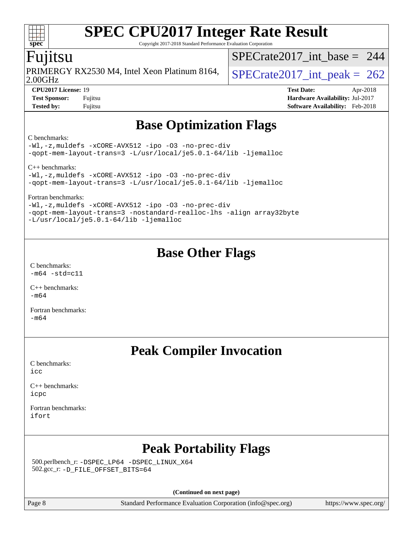Copyright 2017-2018 Standard Performance Evaluation Corporation

## Fujitsu

**[spec](http://www.spec.org/)**

2.00GHz PRIMERGY RX2530 M4, Intel Xeon Platinum 8164,  $\big|$  [SPECrate2017\\_int\\_peak =](http://www.spec.org/auto/cpu2017/Docs/result-fields.html#SPECrate2017intpeak) 262

[SPECrate2017\\_int\\_base =](http://www.spec.org/auto/cpu2017/Docs/result-fields.html#SPECrate2017intbase) 244

**[CPU2017 License:](http://www.spec.org/auto/cpu2017/Docs/result-fields.html#CPU2017License)** 19 **[Test Date:](http://www.spec.org/auto/cpu2017/Docs/result-fields.html#TestDate)** Apr-2018 **[Test Sponsor:](http://www.spec.org/auto/cpu2017/Docs/result-fields.html#TestSponsor)** Fujitsu **[Hardware Availability:](http://www.spec.org/auto/cpu2017/Docs/result-fields.html#HardwareAvailability)** Jul-2017 **[Tested by:](http://www.spec.org/auto/cpu2017/Docs/result-fields.html#Testedby)** Fujitsu **[Software Availability:](http://www.spec.org/auto/cpu2017/Docs/result-fields.html#SoftwareAvailability)** Feb-2018

## **[Base Optimization Flags](http://www.spec.org/auto/cpu2017/Docs/result-fields.html#BaseOptimizationFlags)**

#### [C benchmarks](http://www.spec.org/auto/cpu2017/Docs/result-fields.html#Cbenchmarks):

[-Wl,-z,muldefs](http://www.spec.org/cpu2017/results/res2018q2/cpu2017-20180417-05017.flags.html#user_CCbase_link_force_multiple1_b4cbdb97b34bdee9ceefcfe54f4c8ea74255f0b02a4b23e853cdb0e18eb4525ac79b5a88067c842dd0ee6996c24547a27a4b99331201badda8798ef8a743f577) [-xCORE-AVX512](http://www.spec.org/cpu2017/results/res2018q2/cpu2017-20180417-05017.flags.html#user_CCbase_f-xCORE-AVX512) [-ipo](http://www.spec.org/cpu2017/results/res2018q2/cpu2017-20180417-05017.flags.html#user_CCbase_f-ipo) [-O3](http://www.spec.org/cpu2017/results/res2018q2/cpu2017-20180417-05017.flags.html#user_CCbase_f-O3) [-no-prec-div](http://www.spec.org/cpu2017/results/res2018q2/cpu2017-20180417-05017.flags.html#user_CCbase_f-no-prec-div) [-qopt-mem-layout-trans=3](http://www.spec.org/cpu2017/results/res2018q2/cpu2017-20180417-05017.flags.html#user_CCbase_f-qopt-mem-layout-trans_de80db37974c74b1f0e20d883f0b675c88c3b01e9d123adea9b28688d64333345fb62bc4a798493513fdb68f60282f9a726aa07f478b2f7113531aecce732043) [-L/usr/local/je5.0.1-64/lib](http://www.spec.org/cpu2017/results/res2018q2/cpu2017-20180417-05017.flags.html#user_CCbase_jemalloc_link_path64_4b10a636b7bce113509b17f3bd0d6226c5fb2346b9178c2d0232c14f04ab830f976640479e5c33dc2bcbbdad86ecfb6634cbbd4418746f06f368b512fced5394) [-ljemalloc](http://www.spec.org/cpu2017/results/res2018q2/cpu2017-20180417-05017.flags.html#user_CCbase_jemalloc_link_lib_d1249b907c500fa1c0672f44f562e3d0f79738ae9e3c4a9c376d49f265a04b9c99b167ecedbf6711b3085be911c67ff61f150a17b3472be731631ba4d0471706)

[C++ benchmarks](http://www.spec.org/auto/cpu2017/Docs/result-fields.html#CXXbenchmarks):

[-Wl,-z,muldefs](http://www.spec.org/cpu2017/results/res2018q2/cpu2017-20180417-05017.flags.html#user_CXXbase_link_force_multiple1_b4cbdb97b34bdee9ceefcfe54f4c8ea74255f0b02a4b23e853cdb0e18eb4525ac79b5a88067c842dd0ee6996c24547a27a4b99331201badda8798ef8a743f577) [-xCORE-AVX512](http://www.spec.org/cpu2017/results/res2018q2/cpu2017-20180417-05017.flags.html#user_CXXbase_f-xCORE-AVX512) [-ipo](http://www.spec.org/cpu2017/results/res2018q2/cpu2017-20180417-05017.flags.html#user_CXXbase_f-ipo) [-O3](http://www.spec.org/cpu2017/results/res2018q2/cpu2017-20180417-05017.flags.html#user_CXXbase_f-O3) [-no-prec-div](http://www.spec.org/cpu2017/results/res2018q2/cpu2017-20180417-05017.flags.html#user_CXXbase_f-no-prec-div) [-qopt-mem-layout-trans=3](http://www.spec.org/cpu2017/results/res2018q2/cpu2017-20180417-05017.flags.html#user_CXXbase_f-qopt-mem-layout-trans_de80db37974c74b1f0e20d883f0b675c88c3b01e9d123adea9b28688d64333345fb62bc4a798493513fdb68f60282f9a726aa07f478b2f7113531aecce732043) [-L/usr/local/je5.0.1-64/lib](http://www.spec.org/cpu2017/results/res2018q2/cpu2017-20180417-05017.flags.html#user_CXXbase_jemalloc_link_path64_4b10a636b7bce113509b17f3bd0d6226c5fb2346b9178c2d0232c14f04ab830f976640479e5c33dc2bcbbdad86ecfb6634cbbd4418746f06f368b512fced5394) [-ljemalloc](http://www.spec.org/cpu2017/results/res2018q2/cpu2017-20180417-05017.flags.html#user_CXXbase_jemalloc_link_lib_d1249b907c500fa1c0672f44f562e3d0f79738ae9e3c4a9c376d49f265a04b9c99b167ecedbf6711b3085be911c67ff61f150a17b3472be731631ba4d0471706)

[Fortran benchmarks:](http://www.spec.org/auto/cpu2017/Docs/result-fields.html#Fortranbenchmarks)

[-Wl,-z,muldefs](http://www.spec.org/cpu2017/results/res2018q2/cpu2017-20180417-05017.flags.html#user_FCbase_link_force_multiple1_b4cbdb97b34bdee9ceefcfe54f4c8ea74255f0b02a4b23e853cdb0e18eb4525ac79b5a88067c842dd0ee6996c24547a27a4b99331201badda8798ef8a743f577) [-xCORE-AVX512](http://www.spec.org/cpu2017/results/res2018q2/cpu2017-20180417-05017.flags.html#user_FCbase_f-xCORE-AVX512) [-ipo](http://www.spec.org/cpu2017/results/res2018q2/cpu2017-20180417-05017.flags.html#user_FCbase_f-ipo) [-O3](http://www.spec.org/cpu2017/results/res2018q2/cpu2017-20180417-05017.flags.html#user_FCbase_f-O3) [-no-prec-div](http://www.spec.org/cpu2017/results/res2018q2/cpu2017-20180417-05017.flags.html#user_FCbase_f-no-prec-div) [-qopt-mem-layout-trans=3](http://www.spec.org/cpu2017/results/res2018q2/cpu2017-20180417-05017.flags.html#user_FCbase_f-qopt-mem-layout-trans_de80db37974c74b1f0e20d883f0b675c88c3b01e9d123adea9b28688d64333345fb62bc4a798493513fdb68f60282f9a726aa07f478b2f7113531aecce732043) [-nostandard-realloc-lhs](http://www.spec.org/cpu2017/results/res2018q2/cpu2017-20180417-05017.flags.html#user_FCbase_f_2003_std_realloc_82b4557e90729c0f113870c07e44d33d6f5a304b4f63d4c15d2d0f1fab99f5daaed73bdb9275d9ae411527f28b936061aa8b9c8f2d63842963b95c9dd6426b8a) [-align array32byte](http://www.spec.org/cpu2017/results/res2018q2/cpu2017-20180417-05017.flags.html#user_FCbase_align_array32byte_b982fe038af199962ba9a80c053b8342c548c85b40b8e86eb3cc33dee0d7986a4af373ac2d51c3f7cf710a18d62fdce2948f201cd044323541f22fc0fffc51b6) [-L/usr/local/je5.0.1-64/lib](http://www.spec.org/cpu2017/results/res2018q2/cpu2017-20180417-05017.flags.html#user_FCbase_jemalloc_link_path64_4b10a636b7bce113509b17f3bd0d6226c5fb2346b9178c2d0232c14f04ab830f976640479e5c33dc2bcbbdad86ecfb6634cbbd4418746f06f368b512fced5394) [-ljemalloc](http://www.spec.org/cpu2017/results/res2018q2/cpu2017-20180417-05017.flags.html#user_FCbase_jemalloc_link_lib_d1249b907c500fa1c0672f44f562e3d0f79738ae9e3c4a9c376d49f265a04b9c99b167ecedbf6711b3085be911c67ff61f150a17b3472be731631ba4d0471706)

## **[Base Other Flags](http://www.spec.org/auto/cpu2017/Docs/result-fields.html#BaseOtherFlags)**

[C benchmarks](http://www.spec.org/auto/cpu2017/Docs/result-fields.html#Cbenchmarks):  $-m64 - std= c11$  $-m64 - std= c11$ 

[C++ benchmarks:](http://www.spec.org/auto/cpu2017/Docs/result-fields.html#CXXbenchmarks) [-m64](http://www.spec.org/cpu2017/results/res2018q2/cpu2017-20180417-05017.flags.html#user_CXXbase_intel_intel64_18.0_af43caccfc8ded86e7699f2159af6efc7655f51387b94da716254467f3c01020a5059329e2569e4053f409e7c9202a7efc638f7a6d1ffb3f52dea4a3e31d82ab)

[Fortran benchmarks](http://www.spec.org/auto/cpu2017/Docs/result-fields.html#Fortranbenchmarks): [-m64](http://www.spec.org/cpu2017/results/res2018q2/cpu2017-20180417-05017.flags.html#user_FCbase_intel_intel64_18.0_af43caccfc8ded86e7699f2159af6efc7655f51387b94da716254467f3c01020a5059329e2569e4053f409e7c9202a7efc638f7a6d1ffb3f52dea4a3e31d82ab)

# **[Peak Compiler Invocation](http://www.spec.org/auto/cpu2017/Docs/result-fields.html#PeakCompilerInvocation)**

[C benchmarks](http://www.spec.org/auto/cpu2017/Docs/result-fields.html#Cbenchmarks): [icc](http://www.spec.org/cpu2017/results/res2018q2/cpu2017-20180417-05017.flags.html#user_CCpeak_intel_icc_18.0_66fc1ee009f7361af1fbd72ca7dcefbb700085f36577c54f309893dd4ec40d12360134090235512931783d35fd58c0460139e722d5067c5574d8eaf2b3e37e92)

[C++ benchmarks:](http://www.spec.org/auto/cpu2017/Docs/result-fields.html#CXXbenchmarks) [icpc](http://www.spec.org/cpu2017/results/res2018q2/cpu2017-20180417-05017.flags.html#user_CXXpeak_intel_icpc_18.0_c510b6838c7f56d33e37e94d029a35b4a7bccf4766a728ee175e80a419847e808290a9b78be685c44ab727ea267ec2f070ec5dc83b407c0218cded6866a35d07)

[Fortran benchmarks](http://www.spec.org/auto/cpu2017/Docs/result-fields.html#Fortranbenchmarks): [ifort](http://www.spec.org/cpu2017/results/res2018q2/cpu2017-20180417-05017.flags.html#user_FCpeak_intel_ifort_18.0_8111460550e3ca792625aed983ce982f94888b8b503583aa7ba2b8303487b4d8a21a13e7191a45c5fd58ff318f48f9492884d4413fa793fd88dd292cad7027ca)

# **[Peak Portability Flags](http://www.spec.org/auto/cpu2017/Docs/result-fields.html#PeakPortabilityFlags)**

 500.perlbench\_r: [-DSPEC\\_LP64](http://www.spec.org/cpu2017/results/res2018q2/cpu2017-20180417-05017.flags.html#b500.perlbench_r_peakPORTABILITY_DSPEC_LP64) [-DSPEC\\_LINUX\\_X64](http://www.spec.org/cpu2017/results/res2018q2/cpu2017-20180417-05017.flags.html#b500.perlbench_r_peakCPORTABILITY_DSPEC_LINUX_X64) 502.gcc\_r: [-D\\_FILE\\_OFFSET\\_BITS=64](http://www.spec.org/cpu2017/results/res2018q2/cpu2017-20180417-05017.flags.html#user_peakPORTABILITY502_gcc_r_file_offset_bits_64_5ae949a99b284ddf4e95728d47cb0843d81b2eb0e18bdfe74bbf0f61d0b064f4bda2f10ea5eb90e1dcab0e84dbc592acfc5018bc955c18609f94ddb8d550002c)

**(Continued on next page)**

Page 8 Standard Performance Evaluation Corporation [\(info@spec.org\)](mailto:info@spec.org) <https://www.spec.org/>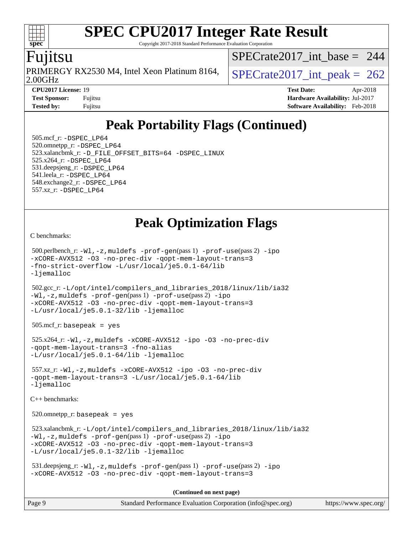Copyright 2017-2018 Standard Performance Evaluation Corporation

## **ujitsu**

**[spec](http://www.spec.org/)**

 $\pm\pm$ 

2.00GHz PRIMERGY RX2530 M4, Intel Xeon Platinum 8164,  $SPECrate2017\_int\_peak = 262$ 

[SPECrate2017\\_int\\_base =](http://www.spec.org/auto/cpu2017/Docs/result-fields.html#SPECrate2017intbase) 244

**[CPU2017 License:](http://www.spec.org/auto/cpu2017/Docs/result-fields.html#CPU2017License)** 19 **[Test Date:](http://www.spec.org/auto/cpu2017/Docs/result-fields.html#TestDate)** Apr-2018 **[Test Sponsor:](http://www.spec.org/auto/cpu2017/Docs/result-fields.html#TestSponsor)** Fujitsu **[Hardware Availability:](http://www.spec.org/auto/cpu2017/Docs/result-fields.html#HardwareAvailability)** Jul-2017 **[Tested by:](http://www.spec.org/auto/cpu2017/Docs/result-fields.html#Testedby)** Fujitsu **[Software Availability:](http://www.spec.org/auto/cpu2017/Docs/result-fields.html#SoftwareAvailability)** Feb-2018

# **[Peak Portability Flags \(Continued\)](http://www.spec.org/auto/cpu2017/Docs/result-fields.html#PeakPortabilityFlags)**

 505.mcf\_r: [-DSPEC\\_LP64](http://www.spec.org/cpu2017/results/res2018q2/cpu2017-20180417-05017.flags.html#suite_peakPORTABILITY505_mcf_r_DSPEC_LP64) 520.omnetpp\_r: [-DSPEC\\_LP64](http://www.spec.org/cpu2017/results/res2018q2/cpu2017-20180417-05017.flags.html#suite_peakPORTABILITY520_omnetpp_r_DSPEC_LP64) 523.xalancbmk\_r: [-D\\_FILE\\_OFFSET\\_BITS=64](http://www.spec.org/cpu2017/results/res2018q2/cpu2017-20180417-05017.flags.html#user_peakPORTABILITY523_xalancbmk_r_file_offset_bits_64_5ae949a99b284ddf4e95728d47cb0843d81b2eb0e18bdfe74bbf0f61d0b064f4bda2f10ea5eb90e1dcab0e84dbc592acfc5018bc955c18609f94ddb8d550002c) [-DSPEC\\_LINUX](http://www.spec.org/cpu2017/results/res2018q2/cpu2017-20180417-05017.flags.html#b523.xalancbmk_r_peakCXXPORTABILITY_DSPEC_LINUX) 525.x264\_r: [-DSPEC\\_LP64](http://www.spec.org/cpu2017/results/res2018q2/cpu2017-20180417-05017.flags.html#suite_peakPORTABILITY525_x264_r_DSPEC_LP64) 531.deepsjeng\_r: [-DSPEC\\_LP64](http://www.spec.org/cpu2017/results/res2018q2/cpu2017-20180417-05017.flags.html#suite_peakPORTABILITY531_deepsjeng_r_DSPEC_LP64) 541.leela\_r: [-DSPEC\\_LP64](http://www.spec.org/cpu2017/results/res2018q2/cpu2017-20180417-05017.flags.html#suite_peakPORTABILITY541_leela_r_DSPEC_LP64) 548.exchange2\_r: [-DSPEC\\_LP64](http://www.spec.org/cpu2017/results/res2018q2/cpu2017-20180417-05017.flags.html#suite_peakPORTABILITY548_exchange2_r_DSPEC_LP64) 557.xz\_r: [-DSPEC\\_LP64](http://www.spec.org/cpu2017/results/res2018q2/cpu2017-20180417-05017.flags.html#suite_peakPORTABILITY557_xz_r_DSPEC_LP64)

## **[Peak Optimization Flags](http://www.spec.org/auto/cpu2017/Docs/result-fields.html#PeakOptimizationFlags)**

[C benchmarks](http://www.spec.org/auto/cpu2017/Docs/result-fields.html#Cbenchmarks):

```
 500.perlbench_r: -Wl,-z,muldefs -prof-gen(pass 1) -prof-use(pass 2) -ipo
-xCORE-AVX512 -O3 -no-prec-div -qopt-mem-layout-trans=3
-fno-strict-overflow -L/usr/local/je5.0.1-64/lib
-ljemalloc
```
 502.gcc\_r: [-L/opt/intel/compilers\\_and\\_libraries\\_2018/linux/lib/ia32](http://www.spec.org/cpu2017/results/res2018q2/cpu2017-20180417-05017.flags.html#user_peakCCLD502_gcc_r_Enable-32bit-runtime_af243bdb1d79e4c7a4f720bf8275e627de2ecd461de63307bc14cef0633fde3cd7bb2facb32dcc8be9566045fb55d40ce2b72b725f73827aa7833441b71b9343) [-Wl,-z,muldefs](http://www.spec.org/cpu2017/results/res2018q2/cpu2017-20180417-05017.flags.html#user_peakEXTRA_LDFLAGS502_gcc_r_link_force_multiple1_b4cbdb97b34bdee9ceefcfe54f4c8ea74255f0b02a4b23e853cdb0e18eb4525ac79b5a88067c842dd0ee6996c24547a27a4b99331201badda8798ef8a743f577) [-prof-gen](http://www.spec.org/cpu2017/results/res2018q2/cpu2017-20180417-05017.flags.html#user_peakPASS1_CFLAGSPASS1_LDFLAGS502_gcc_r_prof_gen_5aa4926d6013ddb2a31985c654b3eb18169fc0c6952a63635c234f711e6e63dd76e94ad52365559451ec499a2cdb89e4dc58ba4c67ef54ca681ffbe1461d6b36)(pass 1) [-prof-use](http://www.spec.org/cpu2017/results/res2018q2/cpu2017-20180417-05017.flags.html#user_peakPASS2_CFLAGSPASS2_LDFLAGS502_gcc_r_prof_use_1a21ceae95f36a2b53c25747139a6c16ca95bd9def2a207b4f0849963b97e94f5260e30a0c64f4bb623698870e679ca08317ef8150905d41bd88c6f78df73f19)(pass 2) [-ipo](http://www.spec.org/cpu2017/results/res2018q2/cpu2017-20180417-05017.flags.html#user_peakPASS1_COPTIMIZEPASS2_COPTIMIZE502_gcc_r_f-ipo) [-xCORE-AVX512](http://www.spec.org/cpu2017/results/res2018q2/cpu2017-20180417-05017.flags.html#user_peakPASS2_COPTIMIZE502_gcc_r_f-xCORE-AVX512) [-O3](http://www.spec.org/cpu2017/results/res2018q2/cpu2017-20180417-05017.flags.html#user_peakPASS1_COPTIMIZEPASS2_COPTIMIZE502_gcc_r_f-O3) [-no-prec-div](http://www.spec.org/cpu2017/results/res2018q2/cpu2017-20180417-05017.flags.html#user_peakPASS1_COPTIMIZEPASS2_COPTIMIZE502_gcc_r_f-no-prec-div) [-qopt-mem-layout-trans=3](http://www.spec.org/cpu2017/results/res2018q2/cpu2017-20180417-05017.flags.html#user_peakPASS1_COPTIMIZEPASS2_COPTIMIZE502_gcc_r_f-qopt-mem-layout-trans_de80db37974c74b1f0e20d883f0b675c88c3b01e9d123adea9b28688d64333345fb62bc4a798493513fdb68f60282f9a726aa07f478b2f7113531aecce732043) [-L/usr/local/je5.0.1-32/lib](http://www.spec.org/cpu2017/results/res2018q2/cpu2017-20180417-05017.flags.html#user_peakEXTRA_LIBS502_gcc_r_jemalloc_link_path32_e29f22e8e6c17053bbc6a0971f5a9c01a601a06bb1a59df2084b77a2fe0a2995b64fd4256feaeea39eeba3aae142e96e2b2b0a28974019c0c0c88139a84f900a) [-ljemalloc](http://www.spec.org/cpu2017/results/res2018q2/cpu2017-20180417-05017.flags.html#user_peakEXTRA_LIBS502_gcc_r_jemalloc_link_lib_d1249b907c500fa1c0672f44f562e3d0f79738ae9e3c4a9c376d49f265a04b9c99b167ecedbf6711b3085be911c67ff61f150a17b3472be731631ba4d0471706)

505.mcf\_r: basepeak = yes

```
 525.x264_r: -Wl,-z,muldefs -xCORE-AVX512 -ipo -O3 -no-prec-div
-qopt-mem-layout-trans=3 -fno-alias
-L/usr/local/je5.0.1-64/lib -ljemalloc
```
 557.xz\_r: [-Wl,-z,muldefs](http://www.spec.org/cpu2017/results/res2018q2/cpu2017-20180417-05017.flags.html#user_peakEXTRA_LDFLAGS557_xz_r_link_force_multiple1_b4cbdb97b34bdee9ceefcfe54f4c8ea74255f0b02a4b23e853cdb0e18eb4525ac79b5a88067c842dd0ee6996c24547a27a4b99331201badda8798ef8a743f577) [-xCORE-AVX512](http://www.spec.org/cpu2017/results/res2018q2/cpu2017-20180417-05017.flags.html#user_peakCOPTIMIZE557_xz_r_f-xCORE-AVX512) [-ipo](http://www.spec.org/cpu2017/results/res2018q2/cpu2017-20180417-05017.flags.html#user_peakCOPTIMIZE557_xz_r_f-ipo) [-O3](http://www.spec.org/cpu2017/results/res2018q2/cpu2017-20180417-05017.flags.html#user_peakCOPTIMIZE557_xz_r_f-O3) [-no-prec-div](http://www.spec.org/cpu2017/results/res2018q2/cpu2017-20180417-05017.flags.html#user_peakCOPTIMIZE557_xz_r_f-no-prec-div) [-qopt-mem-layout-trans=3](http://www.spec.org/cpu2017/results/res2018q2/cpu2017-20180417-05017.flags.html#user_peakCOPTIMIZE557_xz_r_f-qopt-mem-layout-trans_de80db37974c74b1f0e20d883f0b675c88c3b01e9d123adea9b28688d64333345fb62bc4a798493513fdb68f60282f9a726aa07f478b2f7113531aecce732043) [-L/usr/local/je5.0.1-64/lib](http://www.spec.org/cpu2017/results/res2018q2/cpu2017-20180417-05017.flags.html#user_peakEXTRA_LIBS557_xz_r_jemalloc_link_path64_4b10a636b7bce113509b17f3bd0d6226c5fb2346b9178c2d0232c14f04ab830f976640479e5c33dc2bcbbdad86ecfb6634cbbd4418746f06f368b512fced5394) [-ljemalloc](http://www.spec.org/cpu2017/results/res2018q2/cpu2017-20180417-05017.flags.html#user_peakEXTRA_LIBS557_xz_r_jemalloc_link_lib_d1249b907c500fa1c0672f44f562e3d0f79738ae9e3c4a9c376d49f265a04b9c99b167ecedbf6711b3085be911c67ff61f150a17b3472be731631ba4d0471706)

[C++ benchmarks:](http://www.spec.org/auto/cpu2017/Docs/result-fields.html#CXXbenchmarks)

 $520.$ omnetpp\_r: basepeak = yes

```
 523.xalancbmk_r: -L/opt/intel/compilers_and_libraries_2018/linux/lib/ia32
-Wl,-z,muldefs -prof-gen(pass 1) -prof-use(pass 2) -ipo
-xCORE-AVX512 -O3 -no-prec-div -qopt-mem-layout-trans=3
-L/usr/local/je5.0.1-32/lib -ljemalloc
```

```
 531.deepsjeng_r: -Wl,-z,muldefs -prof-gen(pass 1) -prof-use(pass 2) -ipo
-xCORE-AVX512 -O3 -no-prec-div -qopt-mem-layout-trans=3
```
**(Continued on next page)**

| Page 9 | Standard Performance Evaluation Corporation (info@spec.org) | https://www.spec.org/ |
|--------|-------------------------------------------------------------|-----------------------|
|--------|-------------------------------------------------------------|-----------------------|